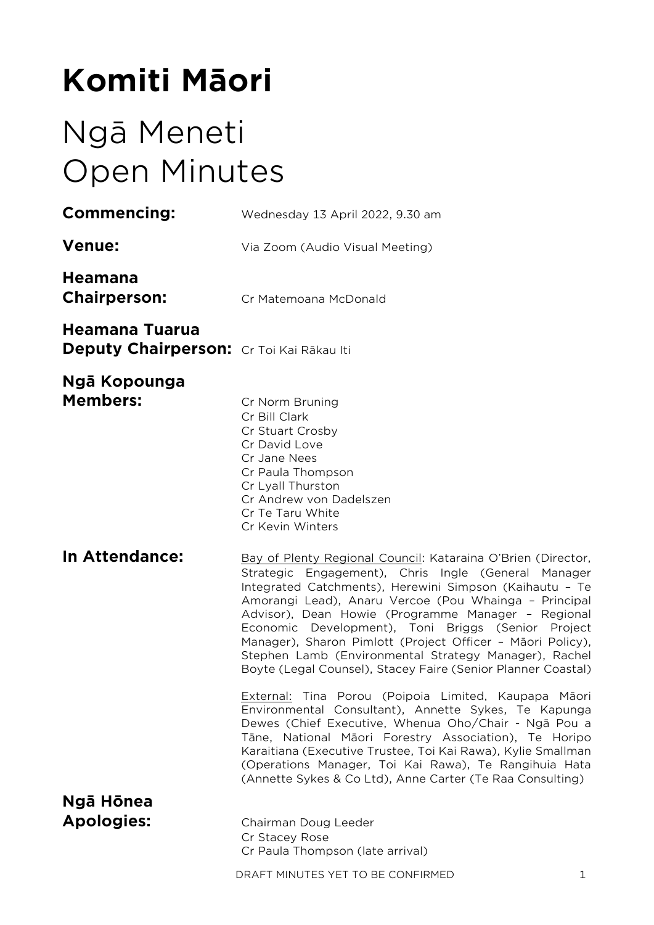# **Komiti Māori**

# Ngā Meneti Open Minutes

| Commencing:                                                | Wednesday 13 April 2022, 9.30 am                                                                                                                                                                                                                                                                                                                                                                                                                                                                                                           |
|------------------------------------------------------------|--------------------------------------------------------------------------------------------------------------------------------------------------------------------------------------------------------------------------------------------------------------------------------------------------------------------------------------------------------------------------------------------------------------------------------------------------------------------------------------------------------------------------------------------|
| <b>Venue:</b>                                              | Via Zoom (Audio Visual Meeting)                                                                                                                                                                                                                                                                                                                                                                                                                                                                                                            |
| <b>Heamana</b><br><b>Chairperson:</b>                      | Cr Matemoana McDonald                                                                                                                                                                                                                                                                                                                                                                                                                                                                                                                      |
| Heamana Tuarua<br>Deputy Chairperson: Cr Toi Kai Rākau Iti |                                                                                                                                                                                                                                                                                                                                                                                                                                                                                                                                            |
| <b>Ngā Kopounga</b><br><b>Members:</b>                     | Cr Norm Bruning<br>Cr Bill Clark<br>Cr Stuart Crosby<br>Cr David Love<br>Cr Jane Nees<br>Cr Paula Thompson<br>Cr Lyall Thurston<br>Cr Andrew von Dadelszen<br>Cr Te Taru White<br>Cr Kevin Winters                                                                                                                                                                                                                                                                                                                                         |
| <b>In Attendance:</b>                                      | Bay of Plenty Regional Council: Kataraina O'Brien (Director,<br>Strategic Engagement), Chris Ingle (General Manager<br>Integrated Catchments), Herewini Simpson (Kaihautu - Te<br>Amorangi Lead), Anaru Vercoe (Pou Whainga - Principal<br>Advisor), Dean Howie (Programme Manager - Regional<br>Economic Development), Toni Briggs (Senior Project<br>Manager), Sharon Pimlott (Project Officer - Māori Policy),<br>Stephen Lamb (Environmental Strategy Manager), Rachel<br>Boyte (Legal Counsel), Stacey Faire (Senior Planner Coastal) |
|                                                            | External: Tina Porou (Poipoia Limited, Kaupapa Māori<br>Environmental Consultant), Annette Sykes, Te Kapunga<br>Dewes (Chief Executive, Whenua Oho/Chair - Ngā Pou a<br>Tāne, National Māori Forestry Association), Te Horipo<br>Karaitiana (Executive Trustee, Toi Kai Rawa), Kylie Smallman<br>(Operations Manager, Toi Kai Rawa), Te Rangihuia Hata<br>(Annette Sykes & Co Ltd), Anne Carter (Te Raa Consulting)                                                                                                                        |
| Ngā Hōnea<br><b>Apologies:</b>                             | Chairman Doug Leeder<br>Cr Stacey Rose<br>Cr Paula Thompson (late arrival)<br>DRAFT MINUTES YET TO BE CONFIRMED<br>1                                                                                                                                                                                                                                                                                                                                                                                                                       |
|                                                            |                                                                                                                                                                                                                                                                                                                                                                                                                                                                                                                                            |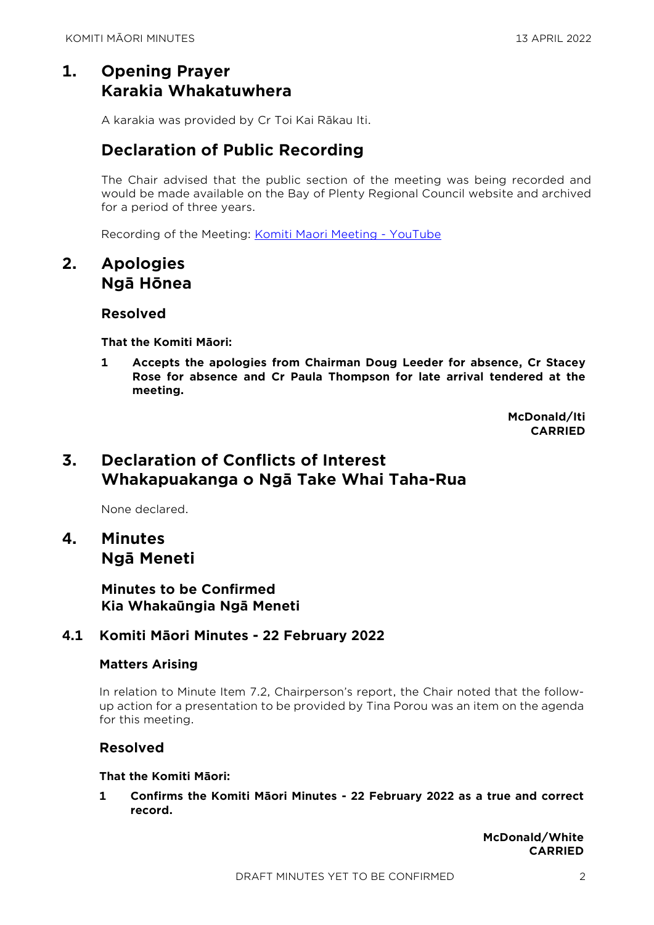# **1. Opening Prayer Karakia Whakatuwhera**

A karakia was provided by Cr Toi Kai Rākau Iti.

# **Declaration of Public Recording**

The Chair advised that the public section of the meeting was being recorded and would be made available on the Bay of Plenty Regional Council website and archived for a period of three years.

Recording of the Meeting: [Komiti Maori Meeting -](https://www.youtube.com/watch?v=5_nhYwySpwA&t=3296s) YouTube

## **2. Apologies Ngā Hōnea**

#### **Resolved**

**That the Komiti Māori:**

**1 Accepts the apologies from Chairman Doug Leeder for absence, Cr Stacey Rose for absence and Cr Paula Thompson for late arrival tendered at the meeting.**

> **McDonald/Iti CARRIED**

# **3. Declaration of Conflicts of Interest Whakapuakanga o Ngā Take Whai Taha-Rua**

None declared.

# **4. Minutes Ngā Meneti**

**Minutes to be Confirmed Kia Whakaūngia Ngā Meneti**

### **4.1 Komiti Māori Minutes - 22 February 2022**

#### **Matters Arising**

In relation to Minute Item 7.2, Chairperson's report, the Chair noted that the followup action for a presentation to be provided by Tina Porou was an item on the agenda for this meeting.

#### **Resolved**

#### **That the Komiti Māori:**

**1 Confirms the Komiti Māori Minutes - 22 February 2022 as a true and correct record.**

> **McDonald/White CARRIED**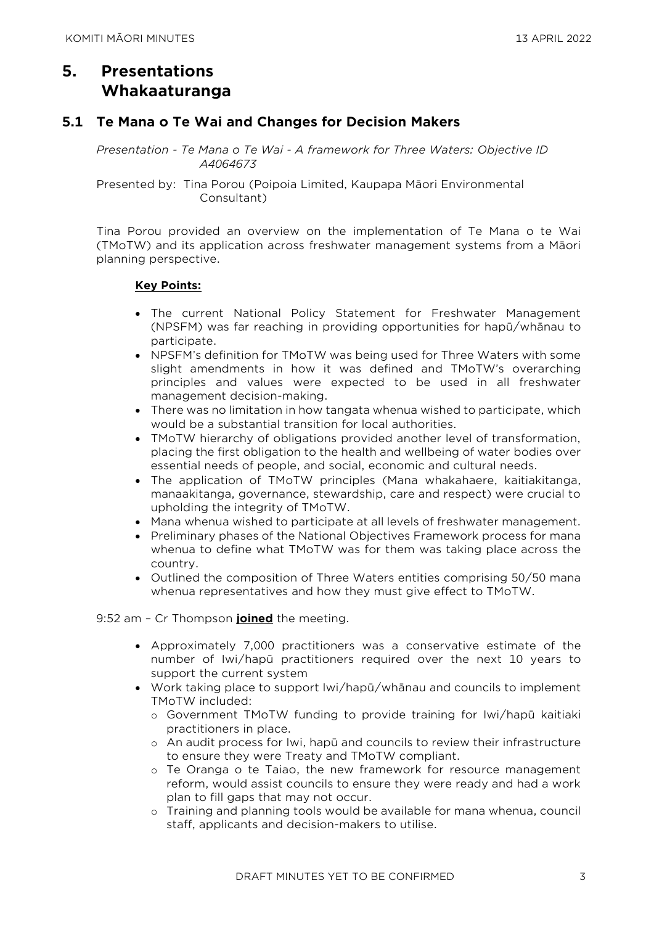# **5. Presentations Whakaaturanga**

#### **5.1 Te Mana o Te Wai and Changes for Decision Makers**

*Presentation - Te Mana o Te Wai - A framework for Three Waters: Objective ID A4064673* 

Presented by: Tina Porou (Poipoia Limited, Kaupapa Māori Environmental Consultant)

Tina Porou provided an overview on the implementation of Te Mana o te Wai (TMoTW) and its application across freshwater management systems from a Māori planning perspective.

#### **Key Points:**

- The current National Policy Statement for Freshwater Management (NPSFM) was far reaching in providing opportunities for hapū/whānau to participate.
- NPSFM's definition for TMoTW was being used for Three Waters with some slight amendments in how it was defined and TMoTW's overarching principles and values were expected to be used in all freshwater management decision-making.
- There was no limitation in how tangata whenua wished to participate, which would be a substantial transition for local authorities.
- TMoTW hierarchy of obligations provided another level of transformation, placing the first obligation to the health and wellbeing of water bodies over essential needs of people, and social, economic and cultural needs.
- The application of TMoTW principles (Mana whakahaere, kaitiakitanga, manaakitanga, governance, stewardship, care and respect) were crucial to upholding the integrity of TMoTW.
- Mana whenua wished to participate at all levels of freshwater management.
- Preliminary phases of the National Objectives Framework process for mana whenua to define what TMoTW was for them was taking place across the country.
- Outlined the composition of Three Waters entities comprising 50/50 mana whenua representatives and how they must give effect to TMoTW.

9:52 am – Cr Thompson **joined** the meeting.

- Approximately 7,000 practitioners was a conservative estimate of the number of Iwi/hapū practitioners required over the next 10 years to support the current system
- Work taking place to support Iwi/hapū/whānau and councils to implement TMoTW included:
	- o Government TMoTW funding to provide training for Iwi/hapū kaitiaki practitioners in place.
	- o An audit process for Iwi, hapū and councils to review their infrastructure to ensure they were Treaty and TMoTW compliant.
	- o Te Oranga o te Taiao, the new framework for resource management reform, would assist councils to ensure they were ready and had a work plan to fill gaps that may not occur.
	- o Training and planning tools would be available for mana whenua, council staff, applicants and decision-makers to utilise.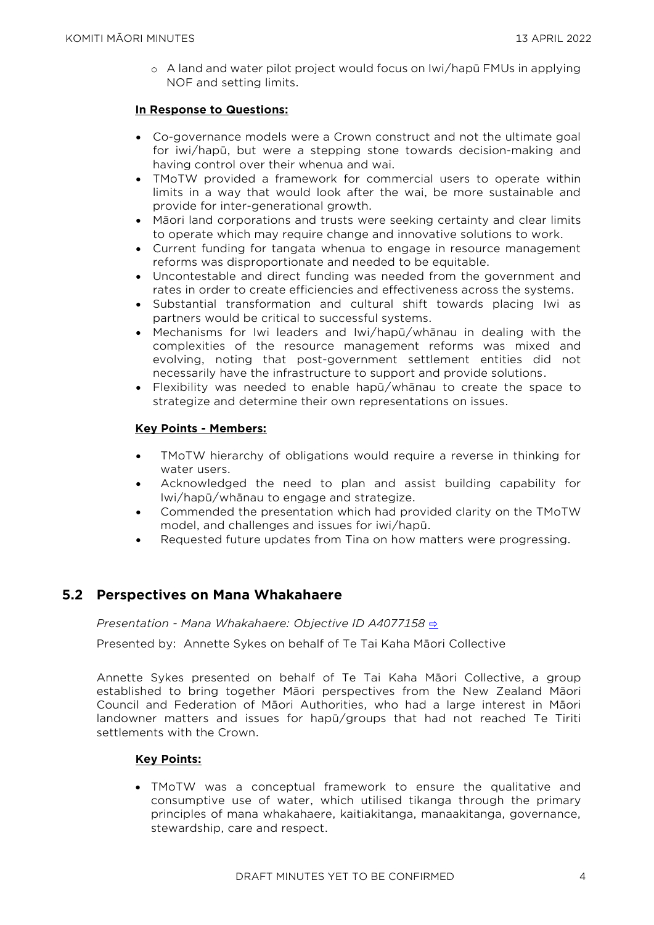o A land and water pilot project would focus on Iwi/hapū FMUs in applying NOF and setting limits.

#### **In Response to Questions:**

- Co-governance models were a Crown construct and not the ultimate goal for iwi/hapū, but were a stepping stone towards decision-making and having control over their whenua and wai.
- TMoTW provided a framework for commercial users to operate within limits in a way that would look after the wai, be more sustainable and provide for inter-generational growth.
- Māori land corporations and trusts were seeking certainty and clear limits to operate which may require change and innovative solutions to work.
- Current funding for tangata whenua to engage in resource management reforms was disproportionate and needed to be equitable.
- Uncontestable and direct funding was needed from the government and rates in order to create efficiencies and effectiveness across the systems.
- Substantial transformation and cultural shift towards placing Iwi as partners would be critical to successful systems.
- Mechanisms for Iwi leaders and Iwi/hapū/whānau in dealing with the complexities of the resource management reforms was mixed and evolving, noting that post-government settlement entities did not necessarily have the infrastructure to support and provide solutions.
- Flexibility was needed to enable hapū/whānau to create the space to strategize and determine their own representations on issues.

#### **Key Points - Members:**

- TMoTW hierarchy of obligations would require a reverse in thinking for water users.
- Acknowledged the need to plan and assist building capability for Iwi/hapū/whānau to engage and strategize.
- Commended the presentation which had provided clarity on the TMoTW model, and challenges and issues for iwi/hapū.
- Requested future updates from Tina on how matters were progressing.

#### **5.2 Perspectives on Mana Whakahaere**

*Presentation - Mana Whakahaere: Objective ID A4077158* [⇨](../../../RedirectToInvalidFileName.aspx?FileName=KM_20220413_MAT_3479.PDF)

Presented by: Annette Sykes on behalf of Te Tai Kaha Māori Collective

Annette Sykes presented on behalf of Te Tai Kaha Māori Collective, a group established to bring together Māori perspectives from the New Zealand Māori Council and Federation of Māori Authorities, who had a large interest in Māori landowner matters and issues for hapū/groups that had not reached Te Tiriti settlements with the Crown.

#### **Key Points:**

• TMoTW was a conceptual framework to ensure the qualitative and consumptive use of water, which utilised tikanga through the primary principles of mana whakahaere, kaitiakitanga, manaakitanga, governance, stewardship, care and respect.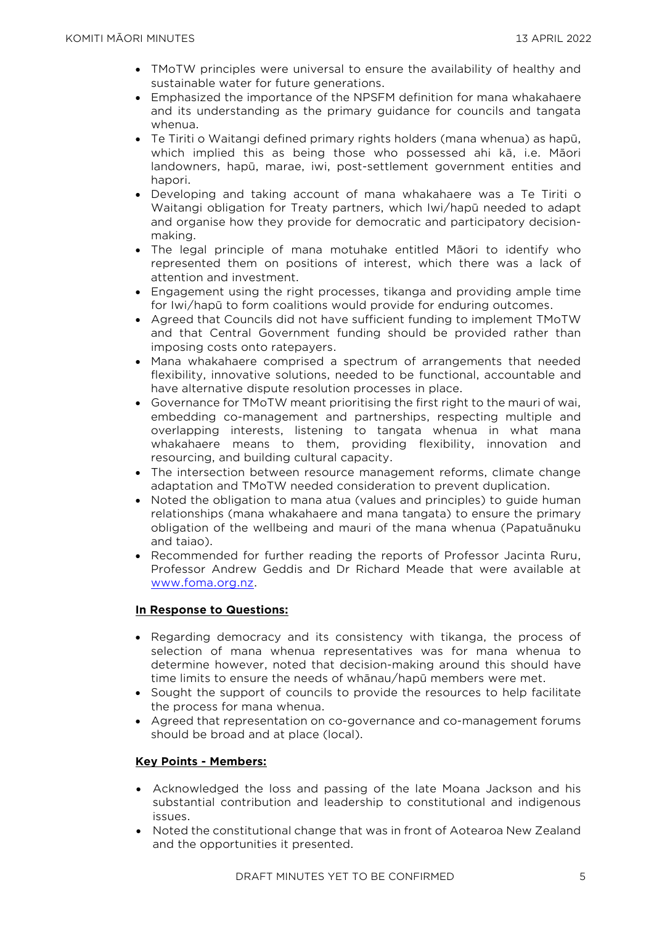- TMoTW principles were universal to ensure the availability of healthy and sustainable water for future generations.
- Emphasized the importance of the NPSFM definition for mana whakahaere and its understanding as the primary guidance for councils and tangata whenua.
- Te Tiriti o Waitangi defined primary rights holders (mana whenua) as hapū, which implied this as being those who possessed ahi kā, i.e. Māori landowners, hapū, marae, iwi, post-settlement government entities and hapori.
- Developing and taking account of mana whakahaere was a Te Tiriti o Waitangi obligation for Treaty partners, which Iwi/hapū needed to adapt and organise how they provide for democratic and participatory decisionmaking.
- The legal principle of mana motuhake entitled Māori to identify who represented them on positions of interest, which there was a lack of attention and investment.
- Engagement using the right processes, tikanga and providing ample time for Iwi/hapū to form coalitions would provide for enduring outcomes.
- Agreed that Councils did not have sufficient funding to implement TMoTW and that Central Government funding should be provided rather than imposing costs onto ratepayers.
- Mana whakahaere comprised a spectrum of arrangements that needed flexibility, innovative solutions, needed to be functional, accountable and have alternative dispute resolution processes in place.
- Governance for TMoTW meant prioritising the first right to the mauri of wai, embedding co-management and partnerships, respecting multiple and overlapping interests, listening to tangata whenua in what mana whakahaere means to them, providing flexibility, innovation and resourcing, and building cultural capacity.
- The intersection between resource management reforms, climate change adaptation and TMoTW needed consideration to prevent duplication.
- Noted the obligation to mana atua (values and principles) to guide human relationships (mana whakahaere and mana tangata) to ensure the primary obligation of the wellbeing and mauri of the mana whenua (Papatuānuku and taiao).
- Recommended for further reading the reports of Professor Jacinta Ruru, Professor Andrew Geddis and Dr Richard Meade that were available at [www.foma.org.nz.](http://www.foma.org.nz/)

#### **In Response to Questions:**

- Regarding democracy and its consistency with tikanga, the process of selection of mana whenua representatives was for mana whenua to determine however, noted that decision-making around this should have time limits to ensure the needs of whānau/hapū members were met.
- Sought the support of councils to provide the resources to help facilitate the process for mana whenua.
- Agreed that representation on co-governance and co-management forums should be broad and at place (local).

#### **Key Points - Members:**

- Acknowledged the loss and passing of the late Moana Jackson and his substantial contribution and leadership to constitutional and indigenous issues.
- Noted the constitutional change that was in front of Aotearoa New Zealand and the opportunities it presented.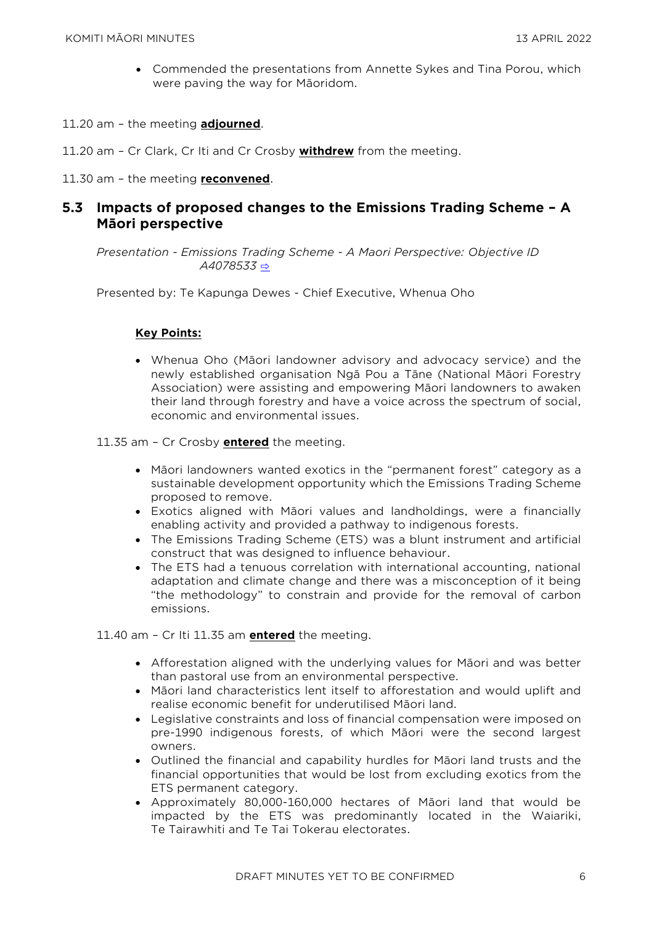- Commended the presentations from Annette Sykes and Tina Porou, which were paving the way for Māoridom.
- 11.20 am the meeting **adjourned**.
- 11.20 am Cr Clark, Cr Iti and Cr Crosby **withdrew** from the meeting.
- 11.30 am the meeting **reconvened**.

#### **5.3 Impacts of proposed changes to the Emissions Trading Scheme – A Māori perspective**

*Presentation - Emissions Trading Scheme - A Maori Perspective: Objective ID A4078533* [⇨](../../../RedirectToInvalidFileName.aspx?FileName=KM_20220413_MAT_3479.PDF)

Presented by: Te Kapunga Dewes - Chief Executive, Whenua Oho

#### **Key Points:**

• Whenua Oho (Māori landowner advisory and advocacy service) and the newly established organisation Ngā Pou a Tāne (National Māori Forestry Association) were assisting and empowering Māori landowners to awaken their land through forestry and have a voice across the spectrum of social, economic and environmental issues.

11.35 am – Cr Crosby **entered** the meeting.

- Māori landowners wanted exotics in the "permanent forest" category as a sustainable development opportunity which the Emissions Trading Scheme proposed to remove.
- Exotics aligned with Māori values and landholdings, were a financially enabling activity and provided a pathway to indigenous forests.
- The Emissions Trading Scheme (ETS) was a blunt instrument and artificial construct that was designed to influence behaviour.
- The ETS had a tenuous correlation with international accounting, national adaptation and climate change and there was a misconception of it being "the methodology" to constrain and provide for the removal of carbon emissions.

11.40 am – Cr Iti 11.35 am **entered** the meeting.

- Afforestation aligned with the underlying values for Māori and was better than pastoral use from an environmental perspective.
- Māori land characteristics lent itself to afforestation and would uplift and realise economic benefit for underutilised Māori land.
- Legislative constraints and loss of financial compensation were imposed on pre-1990 indigenous forests, of which Māori were the second largest owners.
- Outlined the financial and capability hurdles for Māori land trusts and the financial opportunities that would be lost from excluding exotics from the ETS permanent category.
- Approximately 80,000-160,000 hectares of Māori land that would be impacted by the ETS was predominantly located in the Waiariki, Te Tairawhiti and Te Tai Tokerau electorates.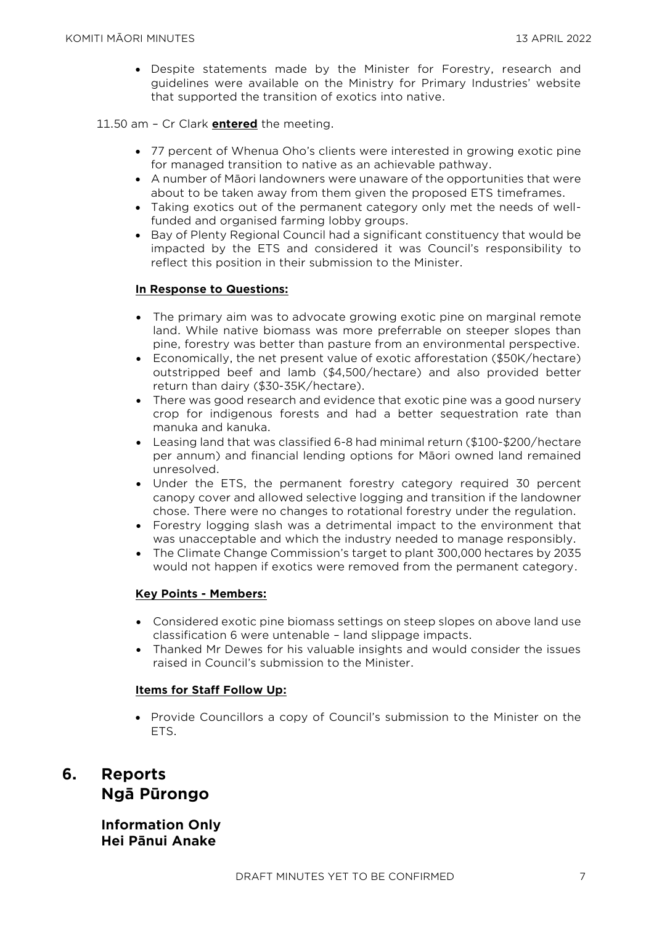• Despite statements made by the Minister for Forestry, research and guidelines were available on the Ministry for Primary Industries' website that supported the transition of exotics into native.

#### 11.50 am – Cr Clark **entered** the meeting.

- 77 percent of Whenua Oho's clients were interested in growing exotic pine for managed transition to native as an achievable pathway.
- A number of Māori landowners were unaware of the opportunities that were about to be taken away from them given the proposed ETS timeframes.
- Taking exotics out of the permanent category only met the needs of wellfunded and organised farming lobby groups.
- Bay of Plenty Regional Council had a significant constituency that would be impacted by the ETS and considered it was Council's responsibility to reflect this position in their submission to the Minister.

#### **In Response to Questions:**

- The primary aim was to advocate growing exotic pine on marginal remote land. While native biomass was more preferrable on steeper slopes than pine, forestry was better than pasture from an environmental perspective.
- Economically, the net present value of exotic afforestation (\$50K/hectare) outstripped beef and lamb (\$4,500/hectare) and also provided better return than dairy (\$30-35K/hectare).
- There was good research and evidence that exotic pine was a good nursery crop for indigenous forests and had a better sequestration rate than manuka and kanuka.
- Leasing land that was classified 6-8 had minimal return (\$100-\$200/hectare per annum) and financial lending options for Māori owned land remained unresolved.
- Under the ETS, the permanent forestry category required 30 percent canopy cover and allowed selective logging and transition if the landowner chose. There were no changes to rotational forestry under the regulation.
- Forestry logging slash was a detrimental impact to the environment that was unacceptable and which the industry needed to manage responsibly.
- The Climate Change Commission's target to plant 300,000 hectares by 2035 would not happen if exotics were removed from the permanent category.

#### **Key Points - Members:**

- Considered exotic pine biomass settings on steep slopes on above land use classification 6 were untenable – land slippage impacts.
- Thanked Mr Dewes for his valuable insights and would consider the issues raised in Council's submission to the Minister.

#### **Items for Staff Follow Up:**

• Provide Councillors a copy of Council's submission to the Minister on the ETS.

# **6. Reports Ngā Pūrongo**

**Information Only Hei Pānui Anake**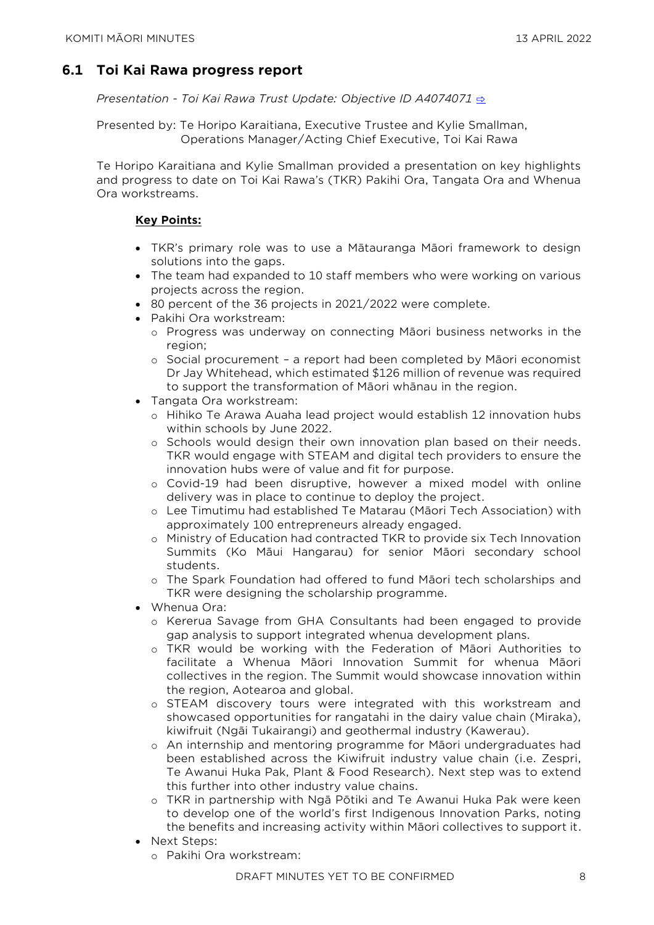## **6.1 Toi Kai Rawa progress report**

*Presentation - Toi Kai Rawa Trust Update: Objective ID A4074071* [⇨](../../../RedirectToInvalidFileName.aspx?FileName=KM_20220413_MAT_3479.PDF)

Presented by: Te Horipo Karaitiana, Executive Trustee and Kylie Smallman, Operations Manager/Acting Chief Executive, Toi Kai Rawa

Te Horipo Karaitiana and Kylie Smallman provided a presentation on key highlights and progress to date on Toi Kai Rawa's (TKR) Pakihi Ora, Tangata Ora and Whenua Ora workstreams.

#### **Key Points:**

- TKR's primary role was to use a Mātauranga Māori framework to design solutions into the gaps.
- The team had expanded to 10 staff members who were working on various projects across the region.
- 80 percent of the 36 projects in 2021/2022 were complete.
- Pakihi Ora workstream:
	- o Progress was underway on connecting Māori business networks in the region;
	- o Social procurement a report had been completed by Māori economist Dr Jay Whitehead, which estimated \$126 million of revenue was required to support the transformation of Māori whānau in the region.
- Tangata Ora workstream:
	- o Hihiko Te Arawa Auaha lead project would establish 12 innovation hubs within schools by June 2022.
	- o Schools would design their own innovation plan based on their needs. TKR would engage with STEAM and digital tech providers to ensure the innovation hubs were of value and fit for purpose.
	- o Covid-19 had been disruptive, however a mixed model with online delivery was in place to continue to deploy the project.
	- o Lee Timutimu had established Te Matarau (Māori Tech Association) with approximately 100 entrepreneurs already engaged.
	- o Ministry of Education had contracted TKR to provide six Tech Innovation Summits (Ko Māui Hangarau) for senior Māori secondary school students.
	- o The Spark Foundation had offered to fund Māori tech scholarships and TKR were designing the scholarship programme.
- Whenua Ora:
	- o Kererua Savage from GHA Consultants had been engaged to provide gap analysis to support integrated whenua development plans.
	- o TKR would be working with the Federation of Māori Authorities to facilitate a Whenua Māori Innovation Summit for whenua Māori collectives in the region. The Summit would showcase innovation within the region, Aotearoa and global.
	- o STEAM discovery tours were integrated with this workstream and showcased opportunities for rangatahi in the dairy value chain (Miraka), kiwifruit (Ngāi Tukairangi) and geothermal industry (Kawerau).
	- o An internship and mentoring programme for Māori undergraduates had been established across the Kiwifruit industry value chain (i.e. Zespri, Te Awanui Huka Pak, Plant & Food Research). Next step was to extend this further into other industry value chains.
	- o TKR in partnership with Ngā Pōtiki and Te Awanui Huka Pak were keen to develop one of the world's first Indigenous Innovation Parks, noting the benefits and increasing activity within Māori collectives to support it.
- Next Steps:
	- o Pakihi Ora workstream: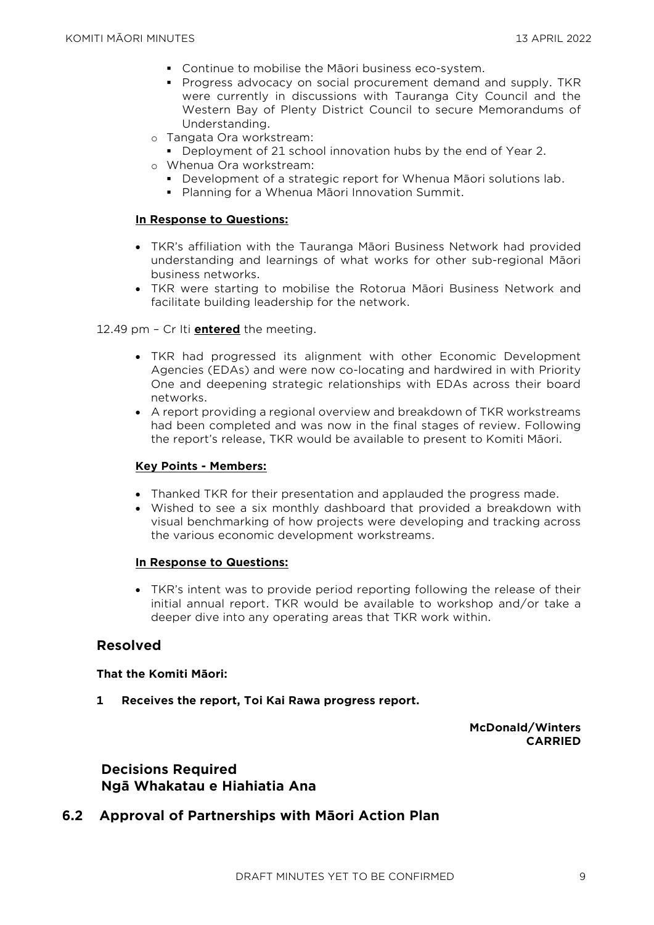- Continue to mobilise the Māori business eco-system.
- Progress advocacy on social procurement demand and supply. TKR were currently in discussions with Tauranga City Council and the Western Bay of Plenty District Council to secure Memorandums of Understanding.
- o Tangata Ora workstream:
	- Deployment of 21 school innovation hubs by the end of Year 2.
- o Whenua Ora workstream:
	- Development of a strategic report for Whenua Māori solutions lab.
	- Planning for a Whenua Māori Innovation Summit.

#### **In Response to Questions:**

- TKR's affiliation with the Tauranga Māori Business Network had provided understanding and learnings of what works for other sub-regional Māori business networks.
- TKR were starting to mobilise the Rotorua Māori Business Network and facilitate building leadership for the network.

12.49 pm – Cr Iti **entered** the meeting.

- TKR had progressed its alignment with other Economic Development Agencies (EDAs) and were now co-locating and hardwired in with Priority One and deepening strategic relationships with EDAs across their board networks.
- A report providing a regional overview and breakdown of TKR workstreams had been completed and was now in the final stages of review. Following the report's release, TKR would be available to present to Komiti Māori.

#### **Key Points - Members:**

- Thanked TKR for their presentation and applauded the progress made.
- Wished to see a six monthly dashboard that provided a breakdown with visual benchmarking of how projects were developing and tracking across the various economic development workstreams.

#### **In Response to Questions:**

• TKR's intent was to provide period reporting following the release of their initial annual report. TKR would be available to workshop and/or take a deeper dive into any operating areas that TKR work within.

#### **Resolved**

#### **That the Komiti Māori:**

**1 Receives the report, Toi Kai Rawa progress report.**

**McDonald/Winters CARRIED**

#### **Decisions Required Ngā Whakatau e Hiahiatia Ana**

#### **6.2 Approval of Partnerships with Māori Action Plan**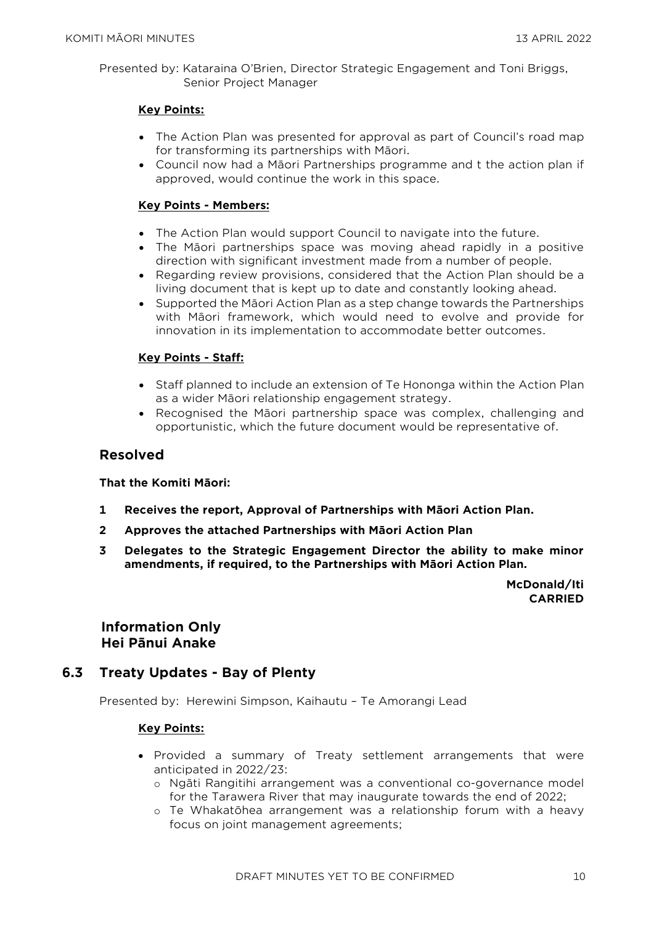Presented by: Kataraina O'Brien, Director Strategic Engagement and Toni Briggs, Senior Project Manager

#### **Key Points:**

- The Action Plan was presented for approval as part of Council's road map for transforming its partnerships with Māori.
- Council now had a Māori Partnerships programme and t the action plan if approved, would continue the work in this space.

#### **Key Points - Members:**

- The Action Plan would support Council to navigate into the future.
- The Māori partnerships space was moving ahead rapidly in a positive direction with significant investment made from a number of people.
- Regarding review provisions, considered that the Action Plan should be a living document that is kept up to date and constantly looking ahead.
- Supported the Māori Action Plan as a step change towards the Partnerships with Māori framework, which would need to evolve and provide for innovation in its implementation to accommodate better outcomes.

#### **Key Points - Staff:**

- Staff planned to include an extension of Te Hononga within the Action Plan as a wider Māori relationship engagement strategy.
- Recognised the Māori partnership space was complex, challenging and opportunistic, which the future document would be representative of.

#### **Resolved**

#### **That the Komiti Māori:**

- **1 Receives the report, Approval of Partnerships with Māori Action Plan.**
- **2 Approves the attached Partnerships with Māori Action Plan**
- **3 Delegates to the Strategic Engagement Director the ability to make minor amendments, if required, to the Partnerships with Māori Action Plan.**

**McDonald/Iti CARRIED**

**Information Only Hei Pānui Anake**

#### **6.3 Treaty Updates - Bay of Plenty**

Presented by: Herewini Simpson, Kaihautu – Te Amorangi Lead

#### **Key Points:**

- Provided a summary of Treaty settlement arrangements that were anticipated in 2022/23:
	- o Ngāti Rangitihi arrangement was a conventional co-governance model for the Tarawera River that may inaugurate towards the end of 2022;
	- o Te Whakatōhea arrangement was a relationship forum with a heavy focus on joint management agreements;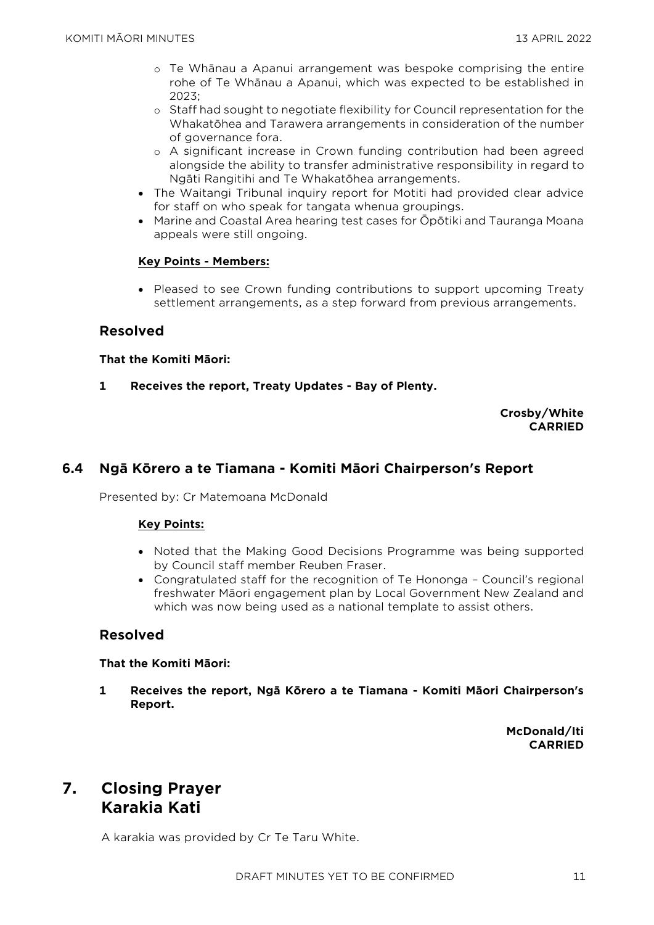- o Te Whānau a Apanui arrangement was bespoke comprising the entire rohe of Te Whānau a Apanui, which was expected to be established in 2023;
- o Staff had sought to negotiate flexibility for Council representation for the Whakatōhea and Tarawera arrangements in consideration of the number of governance fora.
- o A significant increase in Crown funding contribution had been agreed alongside the ability to transfer administrative responsibility in regard to Ngāti Rangitihi and Te Whakatōhea arrangements.
- The Waitangi Tribunal inquiry report for Motiti had provided clear advice for staff on who speak for tangata whenua groupings.
- Marine and Coastal Area hearing test cases for Ōpōtiki and Tauranga Moana appeals were still ongoing.

#### **Key Points - Members:**

• Pleased to see Crown funding contributions to support upcoming Treaty settlement arrangements, as a step forward from previous arrangements.

#### **Resolved**

#### **That the Komiti Māori:**

**1 Receives the report, Treaty Updates - Bay of Plenty.**

#### **Crosby/White CARRIED**

### **6.4 Ngā Kōrero a te Tiamana - Komiti Māori Chairperson's Report**

Presented by: Cr Matemoana McDonald

#### **Key Points:**

- Noted that the Making Good Decisions Programme was being supported by Council staff member Reuben Fraser.
- Congratulated staff for the recognition of Te Hononga Council's regional freshwater Māori engagement plan by Local Government New Zealand and which was now being used as a national template to assist others.

#### **Resolved**

#### **That the Komiti Māori:**

**1 Receives the report, Ngā Kōrero a te Tiamana - Komiti Māori Chairperson's Report.**

> **McDonald/Iti CARRIED**

# **7. Closing Prayer Karakia Kati**

A karakia was provided by Cr Te Taru White.